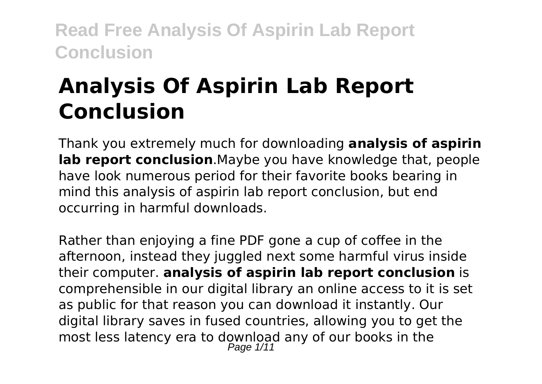# **Analysis Of Aspirin Lab Report Conclusion**

Thank you extremely much for downloading **analysis of aspirin lab report conclusion**.Maybe you have knowledge that, people have look numerous period for their favorite books bearing in mind this analysis of aspirin lab report conclusion, but end occurring in harmful downloads.

Rather than enjoying a fine PDF gone a cup of coffee in the afternoon, instead they juggled next some harmful virus inside their computer. **analysis of aspirin lab report conclusion** is comprehensible in our digital library an online access to it is set as public for that reason you can download it instantly. Our digital library saves in fused countries, allowing you to get the most less latency era to download any of our books in the Page 1/11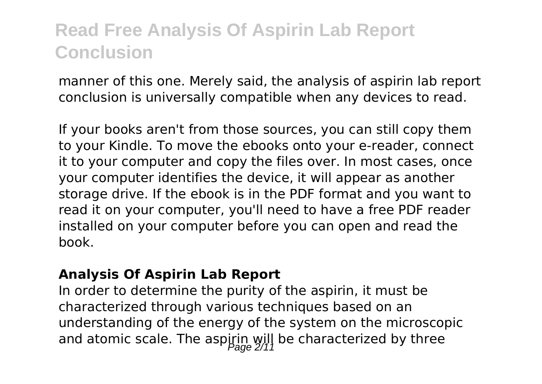manner of this one. Merely said, the analysis of aspirin lab report conclusion is universally compatible when any devices to read.

If your books aren't from those sources, you can still copy them to your Kindle. To move the ebooks onto your e-reader, connect it to your computer and copy the files over. In most cases, once your computer identifies the device, it will appear as another storage drive. If the ebook is in the PDF format and you want to read it on your computer, you'll need to have a free PDF reader installed on your computer before you can open and read the book.

#### **Analysis Of Aspirin Lab Report**

In order to determine the purity of the aspirin, it must be characterized through various techniques based on an understanding of the energy of the system on the microscopic and atomic scale. The aspirin will be characterized by three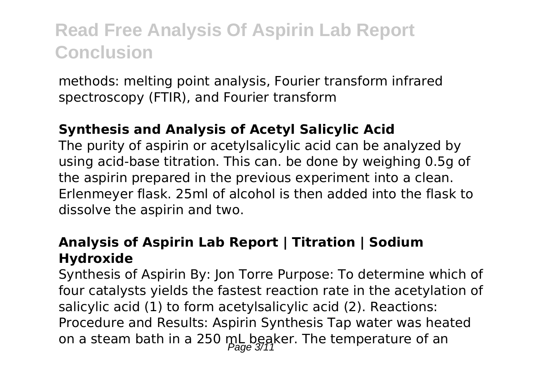methods: melting point analysis, Fourier transform infrared spectroscopy (FTIR), and Fourier transform

### **Synthesis and Analysis of Acetyl Salicylic Acid**

The purity of aspirin or acetylsalicylic acid can be analyzed by using acid-base titration. This can. be done by weighing 0.5g of the aspirin prepared in the previous experiment into a clean. Erlenmeyer flask. 25ml of alcohol is then added into the flask to dissolve the aspirin and two.

### **Analysis of Aspirin Lab Report | Titration | Sodium Hydroxide**

Synthesis of Aspirin By: Jon Torre Purpose: To determine which of four catalysts yields the fastest reaction rate in the acetylation of salicylic acid (1) to form acetylsalicylic acid (2). Reactions: Procedure and Results: Aspirin Synthesis Tap water was heated on a steam bath in a 250 mL beaker. The temperature of an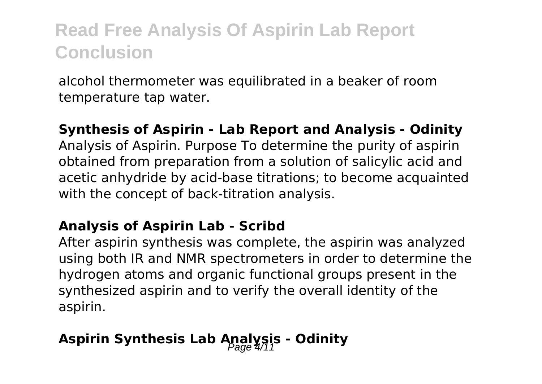alcohol thermometer was equilibrated in a beaker of room temperature tap water.

#### **Synthesis of Aspirin - Lab Report and Analysis - Odinity**

Analysis of Aspirin. Purpose To determine the purity of aspirin obtained from preparation from a solution of salicylic acid and acetic anhydride by acid-base titrations; to become acquainted with the concept of back-titration analysis.

#### **Analysis of Aspirin Lab - Scribd**

After aspirin synthesis was complete, the aspirin was analyzed using both IR and NMR spectrometers in order to determine the hydrogen atoms and organic functional groups present in the synthesized aspirin and to verify the overall identity of the aspirin.

### Aspirin Synthesis Lab Analysis - Odinity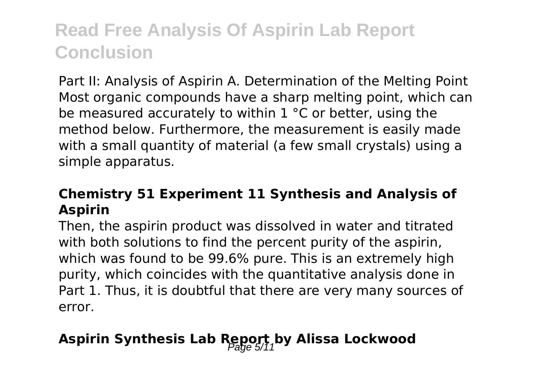Part II: Analysis of Aspirin A. Determination of the Melting Point Most organic compounds have a sharp melting point, which can be measured accurately to within 1 °C or better, using the method below. Furthermore, the measurement is easily made with a small quantity of material (a few small crystals) using a simple apparatus.

### **Chemistry 51 Experiment 11 Synthesis and Analysis of Aspirin**

Then, the aspirin product was dissolved in water and titrated with both solutions to find the percent purity of the aspirin. which was found to be 99.6% pure. This is an extremely high purity, which coincides with the quantitative analysis done in Part 1. Thus, it is doubtful that there are very many sources of error.

### Aspirin Synthesis Lab Report, by Alissa Lockwood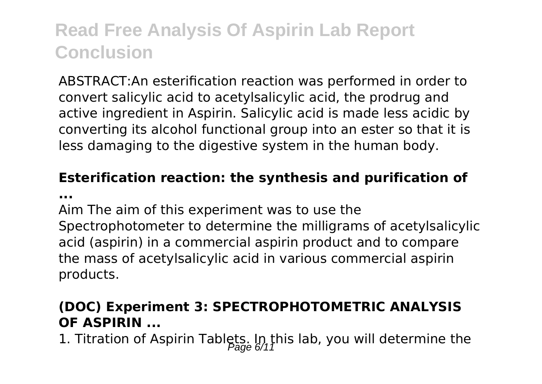ABSTRACT:An esterification reaction was performed in order to convert salicylic acid to acetylsalicylic acid, the prodrug and active ingredient in Aspirin. Salicylic acid is made less acidic by converting its alcohol functional group into an ester so that it is less damaging to the digestive system in the human body.

# **Esterification reaction: the synthesis and purification of**

**...**

Aim The aim of this experiment was to use the Spectrophotometer to determine the milligrams of acetylsalicylic acid (aspirin) in a commercial aspirin product and to compare the mass of acetylsalicylic acid in various commercial aspirin products.

### **(DOC) Experiment 3: SPECTROPHOTOMETRIC ANALYSIS OF ASPIRIN ...**

1. Titration of Aspirin Tablets. In this lab, you will determine the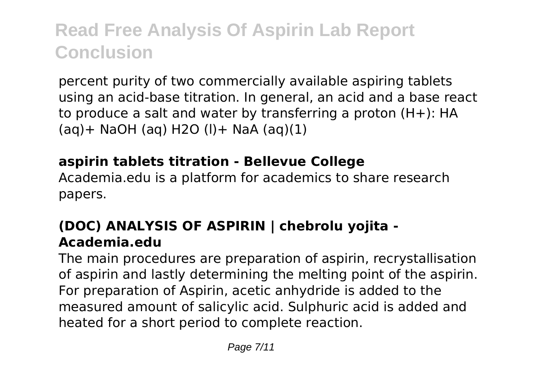percent purity of two commercially available aspiring tablets using an acid-base titration. In general, an acid and a base react to produce a salt and water by transferring a proton (H+): HA  $(aq)$  + NaOH (aq) H2O (l) + NaA (aq)(1)

### **aspirin tablets titration - Bellevue College**

Academia.edu is a platform for academics to share research papers.

### **(DOC) ANALYSIS OF ASPIRIN | chebrolu yojita - Academia.edu**

The main procedures are preparation of aspirin, recrystallisation of aspirin and lastly determining the melting point of the aspirin. For preparation of Aspirin, acetic anhydride is added to the measured amount of salicylic acid. Sulphuric acid is added and heated for a short period to complete reaction.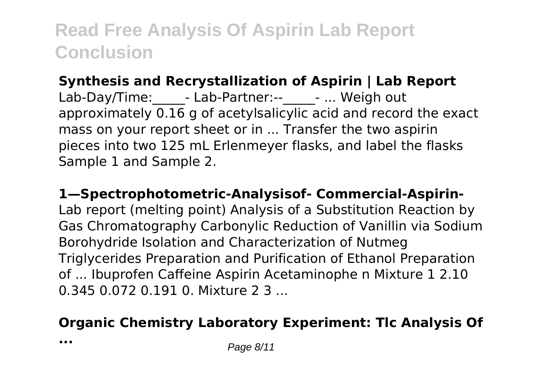### **Synthesis and Recrystallization of Aspirin | Lab Report**

Lab-Day/Time: - Lab-Partner:-- - ... Weigh out approximately 0.16 g of acetylsalicylic acid and record the exact mass on your report sheet or in ... Transfer the two aspirin pieces into two 125 mL Erlenmeyer flasks, and label the flasks Sample 1 and Sample 2.

### **1—Spectrophotometric-Analysisof- Commercial-Aspirin-**

Lab report (melting point) Analysis of a Substitution Reaction by Gas Chromatography Carbonylic Reduction of Vanillin via Sodium Borohydride Isolation and Characterization of Nutmeg Triglycerides Preparation and Purification of Ethanol Preparation of ... Ibuprofen Caffeine Aspirin Acetaminophe n Mixture 1 2.10 0.345 0.072 0.191 0. Mixture 2 3 ...

### **Organic Chemistry Laboratory Experiment: Tlc Analysis Of**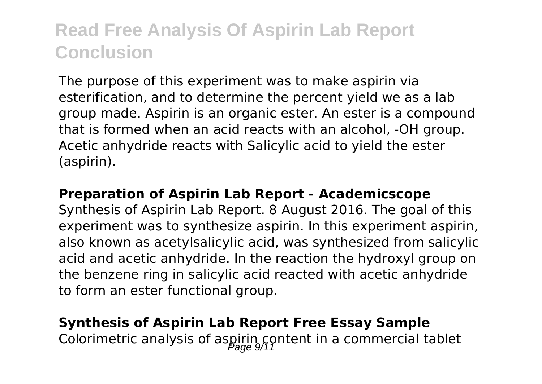The purpose of this experiment was to make aspirin via esterification, and to determine the percent yield we as a lab group made. Aspirin is an organic ester. An ester is a compound that is formed when an acid reacts with an alcohol, -OH group. Acetic anhydride reacts with Salicylic acid to yield the ester (aspirin).

#### **Preparation of Aspirin Lab Report - Academicscope**

Synthesis of Aspirin Lab Report. 8 August 2016. The goal of this experiment was to synthesize aspirin. In this experiment aspirin, also known as acetylsalicylic acid, was synthesized from salicylic acid and acetic anhydride. In the reaction the hydroxyl group on the benzene ring in salicylic acid reacted with acetic anhydride to form an ester functional group.

# **Synthesis of Aspirin Lab Report Free Essay Sample**

Colorimetric analysis of aspirin content in a commercial tablet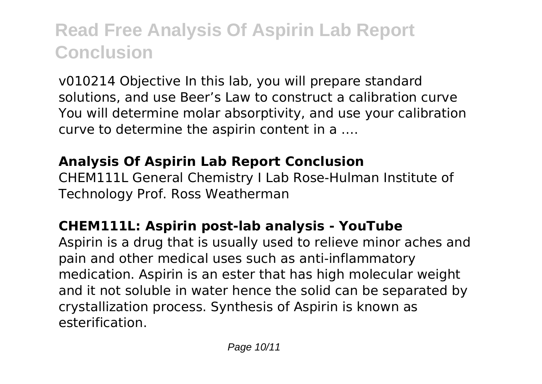v010214 Objective In this lab, you will prepare standard solutions, and use Beer's Law to construct a calibration curve You will determine molar absorptivity, and use your calibration curve to determine the aspirin content in a ….

### **Analysis Of Aspirin Lab Report Conclusion**

CHEM111L General Chemistry I Lab Rose-Hulman Institute of Technology Prof. Ross Weatherman

### **CHEM111L: Aspirin post-lab analysis - YouTube**

Aspirin is a drug that is usually used to relieve minor aches and pain and other medical uses such as anti-inflammatory medication. Aspirin is an ester that has high molecular weight and it not soluble in water hence the solid can be separated by crystallization process. Synthesis of Aspirin is known as esterification.